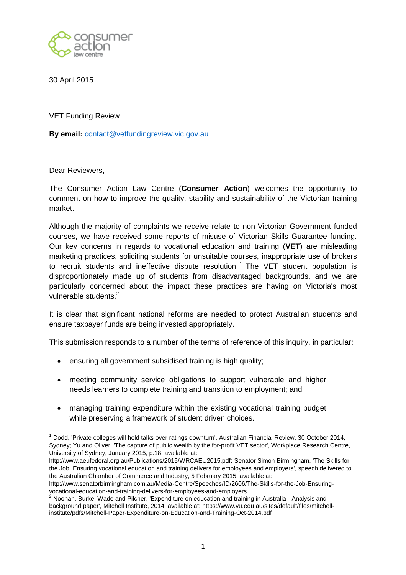

30 April 2015

VET Funding Review

**By email:** [contact@vetfundingreview.vic.gov.au](mailto:contact@vetfundingreview.vic.gov.au)

Dear Reviewers,

 $\overline{a}$ 

The Consumer Action Law Centre (**Consumer Action**) welcomes the opportunity to comment on how to improve the quality, stability and sustainability of the Victorian training market.

Although the majority of complaints we receive relate to non-Victorian Government funded courses, we have received some reports of misuse of Victorian Skills Guarantee funding. Our key concerns in regards to vocational education and training (**VET**) are misleading marketing practices, soliciting students for unsuitable courses, inappropriate use of brokers to recruit students and ineffective dispute resolution.<sup>1</sup> The VET student population is disproportionately made up of students from disadvantaged backgrounds, and we are particularly concerned about the impact these practices are having on Victoria's most vulnerable students.<sup>2</sup>

It is clear that significant national reforms are needed to protect Australian students and ensure taxpayer funds are being invested appropriately.

This submission responds to a number of the terms of reference of this inquiry, in particular:

- ensuring all government subsidised training is high quality;
- meeting community service obligations to support vulnerable and higher needs learners to complete training and transition to employment; and
- managing training expenditure within the existing vocational training budget while preserving a framework of student driven choices.

http://www.senatorbirmingham.com.au/Media-Centre/Speeches/ID/2606/The-Skills-for-the-Job-Ensuringvocational-education-and-training-delivers-for-employees-and-employers

 $1$  Dodd, 'Private colleges will hold talks over ratings downturn', Australian Financial Review, 30 October 2014, Sydney; Yu and Oliver, 'The capture of public wealth by the for-profit VET sector', Workplace Research Centre, University of Sydney, January 2015, p.18, available at:

http://www.aeufederal.org.au/Publications/2015/WRCAEU2015.pdf; Senator Simon Birmingham, 'The Skills for the Job: Ensuring vocational education and training delivers for employees and employers', speech delivered to the Australian Chamber of Commerce and Industry, 5 February 2015, available at:

 $^{2}$  Noonan, Burke, Wade and Pilcher, 'Expenditure on education and training in Australia - Analysis and background paper', Mitchell Institute, 2014, available at: https://www.vu.edu.au/sites/default/files/mitchellinstitute/pdfs/Mitchell-Paper-Expenditure-on-Education-and-Training-Oct-2014.pdf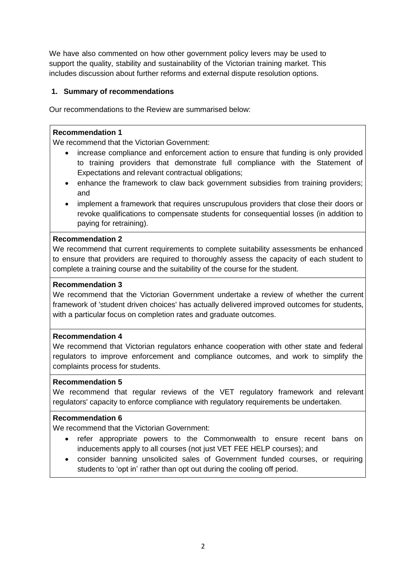We have also commented on how other government policy levers may be used to support the quality, stability and sustainability of the Victorian training market. This includes discussion about further reforms and external dispute resolution options.

## **1. Summary of recommendations**

Our recommendations to the Review are summarised below:

### **Recommendation 1**

We recommend that the Victorian Government:

- increase compliance and enforcement action to ensure that funding is only provided to training providers that demonstrate full compliance with the Statement of Expectations and relevant contractual obligations;
- enhance the framework to claw back government subsidies from training providers; and
- implement a framework that requires unscrupulous providers that close their doors or revoke qualifications to compensate students for consequential losses (in addition to paying for retraining).

## **Recommendation 2**

We recommend that current requirements to complete suitability assessments be enhanced to ensure that providers are required to thoroughly assess the capacity of each student to complete a training course and the suitability of the course for the student.

# **Recommendation 3**

We recommend that the Victorian Government undertake a review of whether the current framework of 'student driven choices' has actually delivered improved outcomes for students, with a particular focus on completion rates and graduate outcomes.

### **Recommendation 4**

We recommend that Victorian regulators enhance cooperation with other state and federal regulators to improve enforcement and compliance outcomes, and work to simplify the complaints process for students.

### **Recommendation 5**

We recommend that regular reviews of the VET regulatory framework and relevant regulators' capacity to enforce compliance with regulatory requirements be undertaken.

### **Recommendation 6**

We recommend that the Victorian Government:

- refer appropriate powers to the Commonwealth to ensure recent bans on inducements apply to all courses (not just VET FEE HELP courses); and
- consider banning unsolicited sales of Government funded courses, or requiring students to 'opt in' rather than opt out during the cooling off period.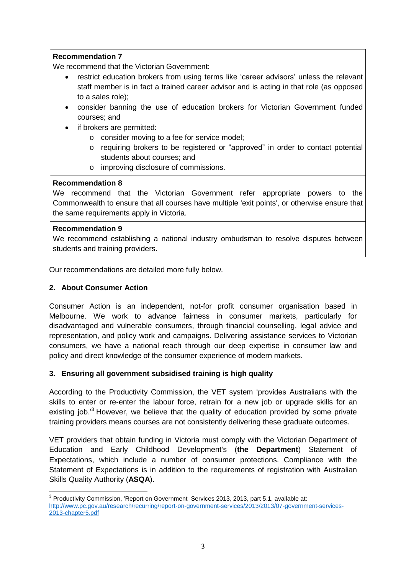We recommend that the Victorian Government:

- restrict education brokers from using terms like 'career advisors' unless the relevant staff member is in fact a trained career advisor and is acting in that role (as opposed to a sales role);
- consider banning the use of education brokers for Victorian Government funded courses; and
- if brokers are permitted:
	- o consider moving to a fee for service model;
	- o requiring brokers to be registered or "approved" in order to contact potential students about courses; and
	- o improving disclosure of commissions.

# **Recommendation 8**

We recommend that the Victorian Government refer appropriate powers to the Commonwealth to ensure that all courses have multiple 'exit points', or otherwise ensure that the same requirements apply in Victoria.

## **Recommendation 9**

We recommend establishing a national industry ombudsman to resolve disputes between students and training providers.

Our recommendations are detailed more fully below.

# **2. About Consumer Action**

Consumer Action is an independent, not-for profit consumer organisation based in Melbourne. We work to advance fairness in consumer markets, particularly for disadvantaged and vulnerable consumers, through financial counselling, legal advice and representation, and policy work and campaigns. Delivering assistance services to Victorian consumers, we have a national reach through our deep expertise in consumer law and policy and direct knowledge of the consumer experience of modern markets.

# **3. Ensuring all government subsidised training is high quality**

According to the Productivity Commission, the VET system 'provides Australians with the skills to enter or re-enter the labour force, retrain for a new job or upgrade skills for an existing job.<sup>3</sup> However, we believe that the quality of education provided by some private training providers means courses are not consistently delivering these graduate outcomes.

VET providers that obtain funding in Victoria must comply with the Victorian Department of Education and Early Childhood Development's (**the Department**) Statement of Expectations, which include a number of consumer protections. Compliance with the Statement of Expectations is in addition to the requirements of registration with Australian Skills Quality Authority (**ASQA**).

 3 Productivity Commission, 'Report on Government Services 2013, 2013, part 5.1, available at: [http://www.pc.gov.au/research/recurring/report-on-government-services/2013/2013/07-government-services-](http://www.pc.gov.au/research/recurring/report-on-government-services/2013/2013/07-government-services-2013-chapter5.pdf)[2013-chapter5.pdf](http://www.pc.gov.au/research/recurring/report-on-government-services/2013/2013/07-government-services-2013-chapter5.pdf)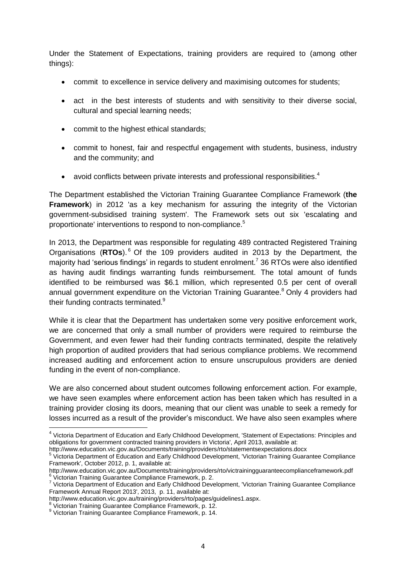Under the Statement of Expectations, training providers are required to (among other things):

- commit to excellence in service delivery and maximising outcomes for students;
- act in the best interests of students and with sensitivity to their diverse social, cultural and special learning needs;
- commit to the highest ethical standards;
- commit to honest, fair and respectful engagement with students, business, industry and the community; and
- avoid conflicts between private interests and professional responsibilities.<sup>4</sup>

The Department established the Victorian Training Guarantee Compliance Framework (**the Framework**) in 2012 'as a key mechanism for assuring the integrity of the Victorian government-subsidised training system'. The Framework sets out six 'escalating and proportionate' interventions to respond to non-compliance.<sup>5</sup>

In 2013, the Department was responsible for regulating 489 contracted Registered Training Organisations (RTOs).<sup>6</sup> Of the 109 providers audited in 2013 by the Department, the majority had 'serious findings' in regards to student enrolment.<sup>7</sup> 36 RTOs were also identified as having audit findings warranting funds reimbursement. The total amount of funds identified to be reimbursed was \$6.1 million, which represented 0.5 per cent of overall annual government expenditure on the Victorian Training Guarantee.<sup>8</sup> Only 4 providers had their funding contracts terminated.<sup>9</sup>

While it is clear that the Department has undertaken some very positive enforcement work, we are concerned that only a small number of providers were required to reimburse the Government, and even fewer had their funding contracts terminated, despite the relatively high proportion of audited providers that had serious compliance problems. We recommend increased auditing and enforcement action to ensure unscrupulous providers are denied funding in the event of non-compliance.

We are also concerned about student outcomes following enforcement action. For example, we have seen examples where enforcement action has been taken which has resulted in a training provider closing its doors, meaning that our client was unable to seek a remedy for losses incurred as a result of the provider's misconduct. We have also seen examples where

http://www.education.vic.gov.au/Documents/training/providers/rto/statementsexpectations.docx 5

 4 Victoria Department of Education and Early Childhood Development, 'Statement of Expectations: Principles and obligations for government contracted training providers in Victoria', April 2013, available at:

Victoria Department of Education and Early Childhood Development, 'Victorian Training Guarantee Compliance Framework', October 2012, p. 1, available at:

http://www.education.vic.gov.au/Documents/training/providers/rto/victrainingguaranteecomplianceframework.pdf 6 Victorian Training Guarantee Compliance Framework, p. 2.

<sup>&</sup>lt;sup>7</sup> Victoria Department of Education and Early Childhood Development, 'Victorian Training Guarantee Compliance Framework Annual Report 2013', 2013, p. 11, available at:

http://www.education.vic.gov.au/training/providers/rto/pages/guidelines1.aspx.

<sup>&</sup>lt;sup>8</sup> Victorian Training Guarantee Compliance Framework, p. 12.

<sup>9</sup> Victorian Training Guarantee Compliance Framework, p. 14.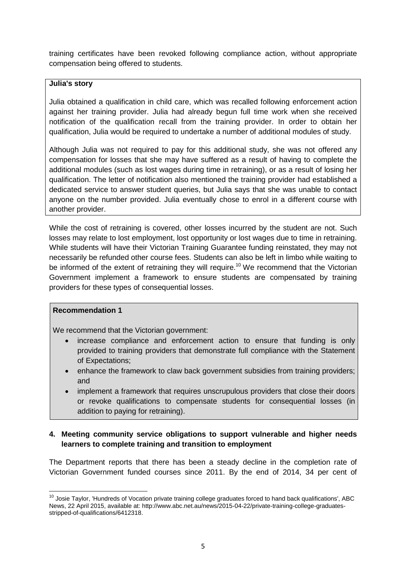training certificates have been revoked following compliance action, without appropriate compensation being offered to students.

### **Julia's story**

Julia obtained a qualification in child care, which was recalled following enforcement action against her training provider. Julia had already begun full time work when she received notification of the qualification recall from the training provider. In order to obtain her qualification, Julia would be required to undertake a number of additional modules of study.

Although Julia was not required to pay for this additional study, she was not offered any compensation for losses that she may have suffered as a result of having to complete the additional modules (such as lost wages during time in retraining), or as a result of losing her qualification. The letter of notification also mentioned the training provider had established a dedicated service to answer student queries, but Julia says that she was unable to contact anyone on the number provided. Julia eventually chose to enrol in a different course with another provider.

While the cost of retraining is covered, other losses incurred by the student are not. Such losses may relate to lost employment, lost opportunity or lost wages due to time in retraining. While students will have their Victorian Training Guarantee funding reinstated, they may not necessarily be refunded other course fees. Students can also be left in limbo while waiting to be informed of the extent of retraining they will require.<sup>10</sup> We recommend that the Victorian Government implement a framework to ensure students are compensated by training providers for these types of consequential losses.

### **Recommendation 1**

We recommend that the Victorian government:

- increase compliance and enforcement action to ensure that funding is only provided to training providers that demonstrate full compliance with the Statement of Expectations;
- enhance the framework to claw back government subsidies from training providers; and
- implement a framework that requires unscrupulous providers that close their doors or revoke qualifications to compensate students for consequential losses (in addition to paying for retraining).

# **4. Meeting community service obligations to support vulnerable and higher needs learners to complete training and transition to employment**

The Department reports that there has been a steady decline in the completion rate of Victorian Government funded courses since 2011. By the end of 2014, 34 per cent of

 $\overline{a}$  $10$  Josie Taylor, 'Hundreds of Vocation private training college graduates forced to hand back qualifications', ABC News, 22 April 2015, available at: http://www.abc.net.au/news/2015-04-22/private-training-college-graduatesstripped-of-qualifications/6412318.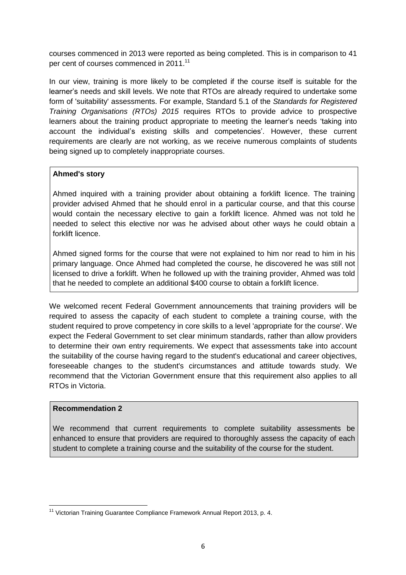courses commenced in 2013 were reported as being completed. This is in comparison to 41 per cent of courses commenced in 2011.<sup>11</sup>

In our view, training is more likely to be completed if the course itself is suitable for the learner's needs and skill levels. We note that RTOs are already required to undertake some form of 'suitability' assessments. For example, Standard 5.1 of the *Standards for Registered Training Organisations (RTOs) 2015* requires RTOs to provide advice to prospective learners about the training product appropriate to meeting the learner's needs 'taking into account the individual's existing skills and competencies'. However, these current requirements are clearly are not working, as we receive numerous complaints of students being signed up to completely inappropriate courses.

## **Ahmed's story**

Ahmed inquired with a training provider about obtaining a forklift licence. The training provider advised Ahmed that he should enrol in a particular course, and that this course would contain the necessary elective to gain a forklift licence. Ahmed was not told he needed to select this elective nor was he advised about other ways he could obtain a forklift licence.

Ahmed signed forms for the course that were not explained to him nor read to him in his primary language. Once Ahmed had completed the course, he discovered he was still not licensed to drive a forklift. When he followed up with the training provider, Ahmed was told that he needed to complete an additional \$400 course to obtain a forklift licence.

We welcomed recent Federal Government announcements that training providers will be required to assess the capacity of each student to complete a training course, with the student required to prove competency in core skills to a level 'appropriate for the course'. We expect the Federal Government to set clear minimum standards, rather than allow providers to determine their own entry requirements. We expect that assessments take into account the suitability of the course having regard to the student's educational and career objectives, foreseeable changes to the student's circumstances and attitude towards study. We recommend that the Victorian Government ensure that this requirement also applies to all RTOs in Victoria.

### **Recommendation 2**

We recommend that current requirements to complete suitability assessments be enhanced to ensure that providers are required to thoroughly assess the capacity of each student to complete a training course and the suitability of the course for the student.

 $\overline{a}$  $11$  Victorian Training Guarantee Compliance Framework Annual Report 2013, p. 4.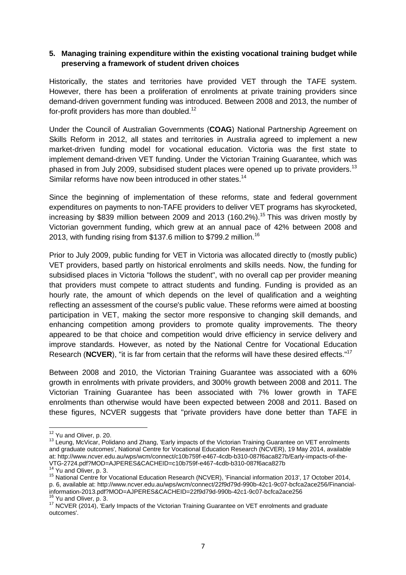# **5. Managing training expenditure within the existing vocational training budget while preserving a framework of student driven choices**

Historically, the states and territories have provided VET through the TAFE system. However, there has been a proliferation of enrolments at private training providers since demand-driven government funding was introduced. Between 2008 and 2013, the number of for-profit providers has more than doubled.<sup>12</sup>

Under the Council of Australian Governments (**COAG**) National Partnership Agreement on Skills Reform in 2012, all states and territories in Australia agreed to implement a new market-driven funding model for vocational education. Victoria was the first state to implement demand-driven VET funding. Under the Victorian Training Guarantee, which was phased in from July 2009, subsidised student places were opened up to private providers.<sup>13</sup> Similar reforms have now been introduced in other states.<sup>14</sup>

Since the beginning of implementation of these reforms, state and federal government expenditures on payments to non-TAFE providers to deliver VET programs has skyrocketed, increasing by \$839 million between 2009 and 2013 (160.2%).<sup>15</sup> This was driven mostly by Victorian government funding, which grew at an annual pace of 42% between 2008 and 2013, with funding rising from \$137.6 million to \$799.2 million.<sup>16</sup>

Prior to July 2009, public funding for VET in Victoria was allocated directly to (mostly public) VET providers, based partly on historical enrolments and skills needs. Now, the funding for subsidised places in Victoria "follows the student", with no overall cap per provider meaning that providers must compete to attract students and funding. Funding is provided as an hourly rate, the amount of which depends on the level of qualification and a weighting reflecting an assessment of the course's public value. These reforms were aimed at boosting participation in VET, making the sector more responsive to changing skill demands, and enhancing competition among providers to promote quality improvements. The theory appeared to be that choice and competition would drive efficiency in service delivery and improve standards. However, as noted by the National Centre for Vocational Education Research (**NCVER**), "it is far from certain that the reforms will have these desired effects."<sup>17</sup>

Between 2008 and 2010, the Victorian Training Guarantee was associated with a 60% growth in enrolments with private providers, and 300% growth between 2008 and 2011. The Victorian Training Guarantee has been associated with 7% lower growth in TAFE enrolments than otherwise would have been expected between 2008 and 2011. Based on these figures, NCVER suggests that "private providers have done better than TAFE in

 $\overline{1}$ 

 $12$  Yu and Oliver, p. 20.

<sup>&</sup>lt;sup>13</sup> Leung, McVicar, Polidano and Zhang, 'Early impacts of the Victorian Training Guarantee on VET enrolments and graduate outcomes', National Centre for Vocational Education Research (NCVER), 19 May 2014, available at: http://www.ncver.edu.au/wps/wcm/connect/c10b759f-e467-4cdb-b310-087f6aca827b/Early-impacts-of-the-VTG-2724.pdf?MOD=AJPERES&CACHEID=c10b759f-e467-4cdb-b310-087f6aca827b

<sup>&</sup>lt;sup>14</sup> Yu and Oliver, p. 3.

<sup>15</sup> National Centre for Vocational Education Research (NCVER), 'Financial information 2013', 17 October 2014, p. 6, available at: http://www.ncver.edu.au/wps/wcm/connect/22f9d79d-990b-42c1-9c07-bcfca2ace256/Financialinformation-2013.pdf?MOD=AJPERES&CACHEID=22f9d79d-990b-42c1-9c07-bcfca2ace256 Yu and Oliver, p. 3.

<sup>&</sup>lt;sup>17</sup> NCVER (2014), 'Early Impacts of the Victorian Training Guarantee on VET enrolments and graduate outcomes'.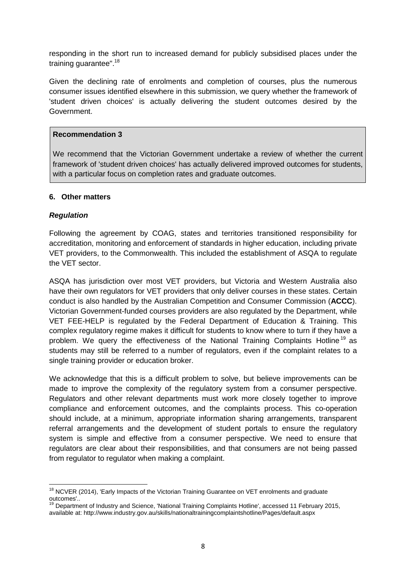responding in the short run to increased demand for publicly subsidised places under the training guarantee".<sup>18</sup>

Given the declining rate of enrolments and completion of courses, plus the numerous consumer issues identified elsewhere in this submission, we query whether the framework of 'student driven choices' is actually delivering the student outcomes desired by the Government.

### **Recommendation 3**

We recommend that the Victorian Government undertake a review of whether the current framework of 'student driven choices' has actually delivered improved outcomes for students, with a particular focus on completion rates and graduate outcomes.

## **6. Other matters**

## *Regulation*

 $\overline{a}$ 

Following the agreement by COAG, states and territories transitioned responsibility for accreditation, monitoring and enforcement of standards in higher education, including private VET providers, to the Commonwealth. This included the establishment of ASQA to regulate the VET sector.

ASQA has jurisdiction over most VET providers, but Victoria and Western Australia also have their own regulators for VET providers that only deliver courses in these states. Certain conduct is also handled by the Australian Competition and Consumer Commission (**ACCC**). Victorian Government-funded courses providers are also regulated by the Department, while VET FEE-HELP is regulated by the Federal Department of Education & Training. This complex regulatory regime makes it difficult for students to know where to turn if they have a problem. We query the effectiveness of the National Training Complaints Hotline<sup>19</sup> as students may still be referred to a number of regulators, even if the complaint relates to a single training provider or education broker.

We acknowledge that this is a difficult problem to solve, but believe improvements can be made to improve the complexity of the regulatory system from a consumer perspective. Regulators and other relevant departments must work more closely together to improve compliance and enforcement outcomes, and the complaints process. This co-operation should include, at a minimum, appropriate information sharing arrangements, transparent referral arrangements and the development of student portals to ensure the regulatory system is simple and effective from a consumer perspective. We need to ensure that regulators are clear about their responsibilities, and that consumers are not being passed from regulator to regulator when making a complaint.

<sup>&</sup>lt;sup>18</sup> NCVER (2014), 'Early Impacts of the Victorian Training Guarantee on VET enrolments and graduate outcomes'..

<sup>&</sup>lt;sup>19</sup> Department of Industry and Science, 'National Training Complaints Hotline', accessed 11 February 2015, available at: http://www.industry.gov.au/skills/nationaltrainingcomplaintshotline/Pages/default.aspx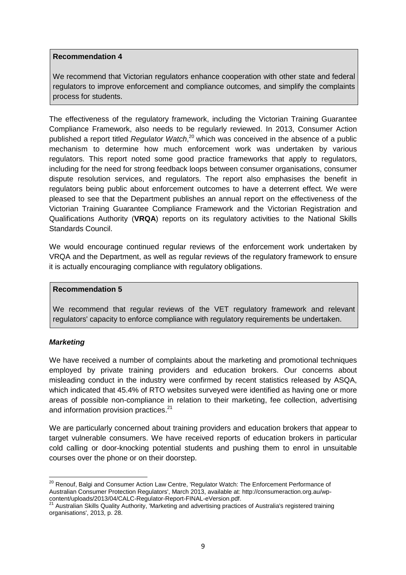We recommend that Victorian regulators enhance cooperation with other state and federal regulators to improve enforcement and compliance outcomes, and simplify the complaints process for students.

The effectiveness of the regulatory framework, including the Victorian Training Guarantee Compliance Framework, also needs to be regularly reviewed. In 2013, Consumer Action published a report titled *Regulator Watch*, <sup>20</sup> which was conceived in the absence of a public mechanism to determine how much enforcement work was undertaken by various regulators. This report noted some good practice frameworks that apply to regulators, including for the need for strong feedback loops between consumer organisations, consumer dispute resolution services, and regulators. The report also emphasises the benefit in regulators being public about enforcement outcomes to have a deterrent effect. We were pleased to see that the Department publishes an annual report on the effectiveness of the Victorian Training Guarantee Compliance Framework and the Victorian Registration and Qualifications Authority (**VRQA**) reports on its regulatory activities to the National Skills Standards Council.

We would encourage continued regular reviews of the enforcement work undertaken by VRQA and the Department, as well as regular reviews of the regulatory framework to ensure it is actually encouraging compliance with regulatory obligations.

### **Recommendation 5**

We recommend that regular reviews of the VET regulatory framework and relevant regulators' capacity to enforce compliance with regulatory requirements be undertaken.

### *Marketing*

We have received a number of complaints about the marketing and promotional techniques employed by private training providers and education brokers. Our concerns about misleading conduct in the industry were confirmed by recent statistics released by ASQA, which indicated that 45.4% of RTO websites surveyed were identified as having one or more areas of possible non-compliance in relation to their marketing, fee collection, advertising and information provision practices.<sup>21</sup>

We are particularly concerned about training providers and education brokers that appear to target vulnerable consumers. We have received reports of education brokers in particular cold calling or door-knocking potential students and pushing them to enrol in unsuitable courses over the phone or on their doorstep.

 $\overline{a}$ <sup>20</sup> Renouf, Balgi and Consumer Action Law Centre, 'Regulator Watch: The Enforcement Performance of Australian Consumer Protection Regulators', March 2013, available at: http://consumeraction.org.au/wpcontent/uploads/2013/04/CALC-Regulator-Report-FINAL-eVersion.pdf.

<sup>&</sup>lt;sup>21</sup> Australian Skills Quality Authority, 'Marketing and advertising practices of Australia's registered training organisations', 2013, p. 28.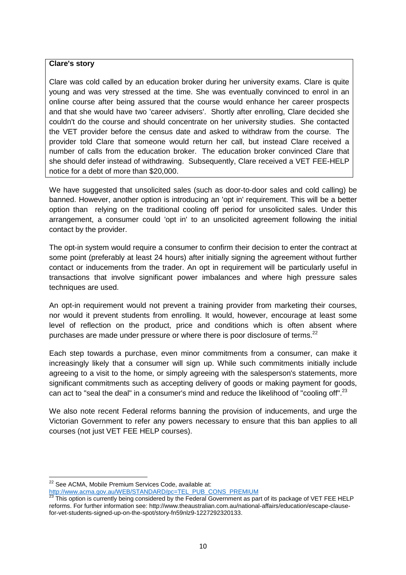### **Clare's story**

Clare was cold called by an education broker during her university exams. Clare is quite young and was very stressed at the time. She was eventually convinced to enrol in an online course after being assured that the course would enhance her career prospects and that she would have two 'career advisers'. Shortly after enrolling, Clare decided she couldn't do the course and should concentrate on her university studies. She contacted the VET provider before the census date and asked to withdraw from the course. The provider told Clare that someone would return her call, but instead Clare received a number of calls from the education broker. The education broker convinced Clare that she should defer instead of withdrawing. Subsequently, Clare received a VET FEE-HELP notice for a debt of more than \$20,000.

We have suggested that unsolicited sales (such as door-to-door sales and cold calling) be banned. However, another option is introducing an 'opt in' requirement. This will be a better option than relying on the traditional cooling off period for unsolicited sales. Under this arrangement, a consumer could 'opt in' to an unsolicited agreement following the initial contact by the provider.

The opt-in system would require a consumer to confirm their decision to enter the contract at some point (preferably at least 24 hours) after initially signing the agreement without further contact or inducements from the trader. An opt in requirement will be particularly useful in transactions that involve significant power imbalances and where high pressure sales techniques are used.

An opt-in requirement would not prevent a training provider from marketing their courses, nor would it prevent students from enrolling. It would, however, encourage at least some level of reflection on the product, price and conditions which is often absent where purchases are made under pressure or where there is poor disclosure of terms.<sup>22</sup>

Each step towards a purchase, even minor commitments from a consumer, can make it increasingly likely that a consumer will sign up. While such commitments initially include agreeing to a visit to the home, or simply agreeing with the salesperson's statements, more significant commitments such as accepting delivery of goods or making payment for goods, can act to "seal the deal" in a consumer's mind and reduce the likelihood of "cooling off".<sup>23</sup>

We also note recent Federal reforms banning the provision of inducements, and urge the Victorian Government to refer any powers necessary to ensure that this ban applies to all courses (not just VET FEE HELP courses).

 $\overline{a}$ <sup>22</sup> See ACMA, Mobile Premium Services Code, available at:

[http://www.acma.gov.au/WEB/STANDARD/pc=TEL\\_PUB\\_CONS\\_PREMIUM](http://www.acma.gov.au/WEB/STANDARD/pc=TEL_PUB_CONS_PREMIUM)

This option is currently being considered by the Federal Government as part of its package of VET FEE HELP reforms. For further information see: http://www.theaustralian.com.au/national-affairs/education/escape-clausefor-vet-students-signed-up-on-the-spot/story-fn59nlz9-1227292320133.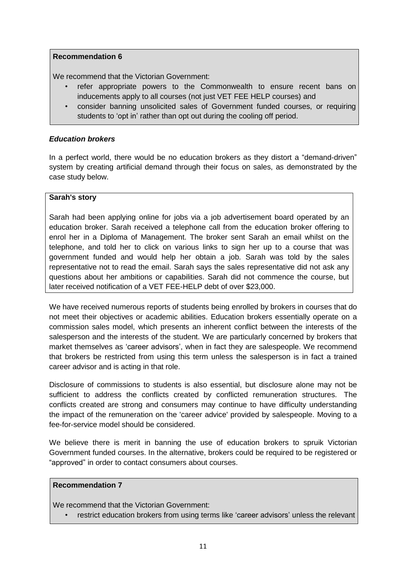We recommend that the Victorian Government:

- refer appropriate powers to the Commonwealth to ensure recent bans on inducements apply to all courses (not just VET FEE HELP courses) and
- consider banning unsolicited sales of Government funded courses, or requiring students to 'opt in' rather than opt out during the cooling off period.

## *Education brokers*

In a perfect world, there would be no education brokers as they distort a "demand-driven" system by creating artificial demand through their focus on sales, as demonstrated by the case study below.

### **Sarah's story**

Sarah had been applying online for jobs via a job advertisement board operated by an education broker. Sarah received a telephone call from the education broker offering to enrol her in a Diploma of Management. The broker sent Sarah an email whilst on the telephone, and told her to click on various links to sign her up to a course that was government funded and would help her obtain a job. Sarah was told by the sales representative not to read the email. Sarah says the sales representative did not ask any questions about her ambitions or capabilities. Sarah did not commence the course, but later received notification of a VET FEE-HELP debt of over \$23,000.

We have received numerous reports of students being enrolled by brokers in courses that do not meet their objectives or academic abilities. Education brokers essentially operate on a commission sales model, which presents an inherent conflict between the interests of the salesperson and the interests of the student. We are particularly concerned by brokers that market themselves as 'career advisors', when in fact they are salespeople. We recommend that brokers be restricted from using this term unless the salesperson is in fact a trained career advisor and is acting in that role.

Disclosure of commissions to students is also essential, but disclosure alone may not be sufficient to address the conflicts created by conflicted remuneration structures. The conflicts created are strong and consumers may continue to have difficulty understanding the impact of the remuneration on the 'career advice' provided by salespeople. Moving to a fee-for-service model should be considered.

We believe there is merit in banning the use of education brokers to spruik Victorian Government funded courses. In the alternative, brokers could be required to be registered or "approved" in order to contact consumers about courses.

### **Recommendation 7**

We recommend that the Victorian Government:

restrict education brokers from using terms like 'career advisors' unless the relevant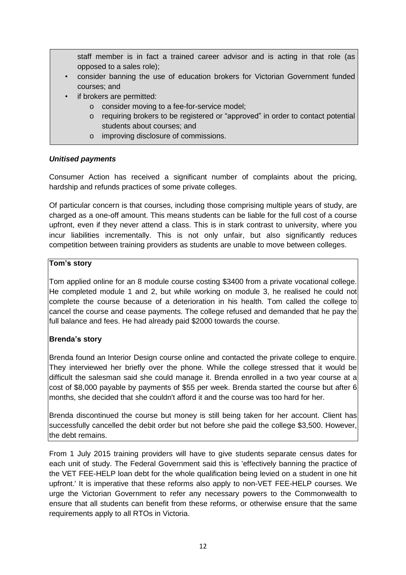staff member is in fact a trained career advisor and is acting in that role (as opposed to a sales role);

- consider banning the use of education brokers for Victorian Government funded courses; and
- if brokers are permitted:
	- o consider moving to a fee-for-service model;
	- o requiring brokers to be registered or "approved" in order to contact potential students about courses; and
	- o improving disclosure of commissions.

## *Unitised payments*

Consumer Action has received a significant number of complaints about the pricing, hardship and refunds practices of some private colleges.

Of particular concern is that courses, including those comprising multiple years of study, are charged as a one-off amount. This means students can be liable for the full cost of a course upfront, even if they never attend a class. This is in stark contrast to university, where you incur liabilities incrementally. This is not only unfair, but also significantly reduces competition between training providers as students are unable to move between colleges.

## **Tom's story**

Tom applied online for an 8 module course costing \$3400 from a private vocational college. He completed module 1 and 2, but while working on module 3, he realised he could not complete the course because of a deterioration in his health. Tom called the college to cancel the course and cease payments. The college refused and demanded that he pay the full balance and fees. He had already paid \$2000 towards the course.

# **Brenda's story**

Brenda found an Interior Design course online and contacted the private college to enquire. They interviewed her briefly over the phone. While the college stressed that it would be difficult the salesman said she could manage it. Brenda enrolled in a two year course at a cost of \$8,000 payable by payments of \$55 per week. Brenda started the course but after 6 months, she decided that she couldn't afford it and the course was too hard for her.

Brenda discontinued the course but money is still being taken for her account. Client has successfully cancelled the debit order but not before she paid the college \$3,500. However, the debt remains.

From 1 July 2015 training providers will have to give students separate census dates for each unit of study. The Federal Government said this is 'effectively banning the practice of the VET FEE-HELP loan debt for the whole qualification being levied on a student in one hit upfront.' It is imperative that these reforms also apply to non-VET FEE-HELP courses. We urge the Victorian Government to refer any necessary powers to the Commonwealth to ensure that all students can benefit from these reforms, or otherwise ensure that the same requirements apply to all RTOs in Victoria.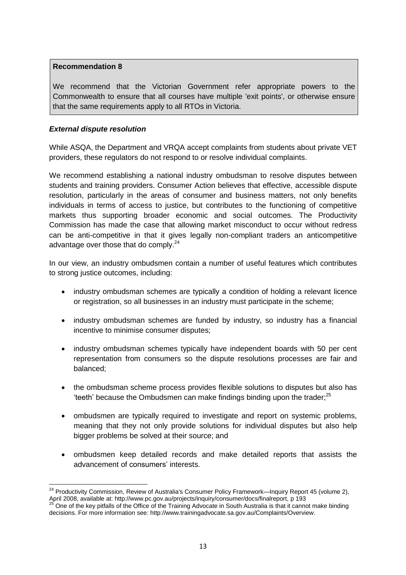We recommend that the Victorian Government refer appropriate powers to the Commonwealth to ensure that all courses have multiple 'exit points', or otherwise ensure that the same requirements apply to all RTOs in Victoria.

## *External dispute resolution*

 $\overline{a}$ 

While ASQA, the Department and VRQA accept complaints from students about private VET providers, these regulators do not respond to or resolve individual complaints.

We recommend establishing a national industry ombudsman to resolve disputes between students and training providers. Consumer Action believes that effective, accessible dispute resolution, particularly in the areas of consumer and business matters, not only benefits individuals in terms of access to justice, but contributes to the functioning of competitive markets thus supporting broader economic and social outcomes. The Productivity Commission has made the case that allowing market misconduct to occur without redress can be anti-competitive in that it gives legally non-compliant traders an anticompetitive advantage over those that do comply.<sup>24</sup>

In our view, an industry ombudsmen contain a number of useful features which contributes to strong justice outcomes, including:

- industry ombudsman schemes are typically a condition of holding a relevant licence or registration, so all businesses in an industry must participate in the scheme;
- industry ombudsman schemes are funded by industry, so industry has a financial incentive to minimise consumer disputes;
- industry ombudsman schemes typically have independent boards with 50 per cent representation from consumers so the dispute resolutions processes are fair and balanced;
- the ombudsman scheme process provides flexible solutions to disputes but also has 'teeth' because the Ombudsmen can make findings binding upon the trader; $^{25}$
- ombudsmen are typically required to investigate and report on systemic problems, meaning that they not only provide solutions for individual disputes but also help bigger problems be solved at their source; and
- ombudsmen keep detailed records and make detailed reports that assists the advancement of consumers' interests.

<sup>&</sup>lt;sup>24</sup> Productivity Commission, Review of Australia's Consumer Policy Framework—Inquiry Report 45 (volume 2), April 2008, available at: http://www.pc.gov.au/projects/inquiry/consumer/docs/finalreport, p 193

<sup>25</sup> One of the key pitfalls of the Office of the Training Advocate in South Australia is that it cannot make binding decisions. For more information see: http://www.trainingadvocate.sa.gov.au/Complaints/Overview.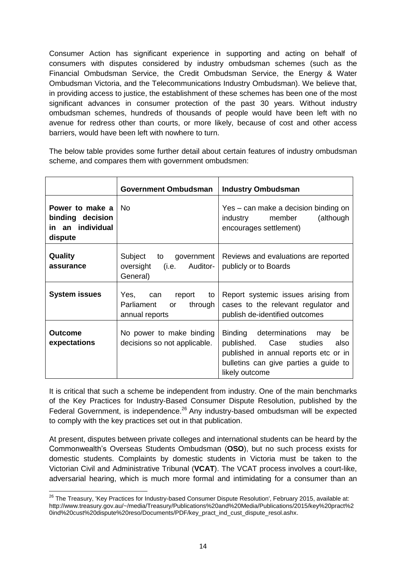Consumer Action has significant experience in supporting and acting on behalf of consumers with disputes considered by industry ombudsman schemes (such as the Financial Ombudsman Service, the Credit Ombudsman Service, the Energy & Water Ombudsman Victoria, and the Telecommunications Industry Ombudsman). We believe that, in providing access to justice, the establishment of these schemes has been one of the most significant advances in consumer protection of the past 30 years. Without industry ombudsman schemes, hundreds of thousands of people would have been left with no avenue for redress other than courts, or more likely, because of cost and other access barriers, would have been left with nowhere to turn.

The below table provides some further detail about certain features of industry ombudsman scheme, and compares them with government ombudsmen:

|                                                                    | <b>Government Ombudsman</b>                                                    | <b>Industry Ombudsman</b>                                                                                                                                                        |
|--------------------------------------------------------------------|--------------------------------------------------------------------------------|----------------------------------------------------------------------------------------------------------------------------------------------------------------------------------|
| Power to make a<br>binding decision<br>in an individual<br>dispute | No.                                                                            | Yes – can make a decision binding on<br>industry<br>member<br>(although<br>encourages settlement)                                                                                |
| Quality<br>assurance                                               | Subject to<br>government<br>oversight<br>(i.e. Auditor-<br>General)            | Reviews and evaluations are reported<br>publicly or to Boards                                                                                                                    |
| <b>System issues</b>                                               | Yes,<br>report<br>to<br>can<br>through  <br>Parliament<br>or<br>annual reports | Report systemic issues arising from<br>cases to the relevant regulator and<br>publish de-identified outcomes                                                                     |
| Outcome<br>expectations                                            | No power to make binding<br>decisions so not applicable.                       | Binding determinations<br>may<br>be<br>Case<br>studies<br>published.<br>also<br>published in annual reports etc or in<br>bulletins can give parties a guide to<br>likely outcome |

It is critical that such a scheme be independent from industry. One of the main benchmarks of the Key Practices for Industry-Based Consumer Dispute Resolution, published by the Federal Government, is independence.<sup>26</sup> Any industry-based ombudsman will be expected to comply with the key practices set out in that publication.

At present, disputes between private colleges and international students can be heard by the Commonwealth's Overseas Students Ombudsman (**OSO**), but no such process exists for domestic students. Complaints by domestic students in Victoria must be taken to the Victorian Civil and Administrative Tribunal (**VCAT**). The VCAT process involves a court-like, adversarial hearing, which is much more formal and intimidating for a consumer than an

 $\overline{a}$  $^{26}$  The Treasury, 'Key Practices for Industry-based Consumer Dispute Resolution', February 2015, available at: http://www.treasury.gov.au/~/media/Treasury/Publications%20and%20Media/Publications/2015/key%20pract%2 0ind%20cust%20dispute%20reso/Documents/PDF/key\_pract\_ind\_cust\_dispute\_resol.ashx.